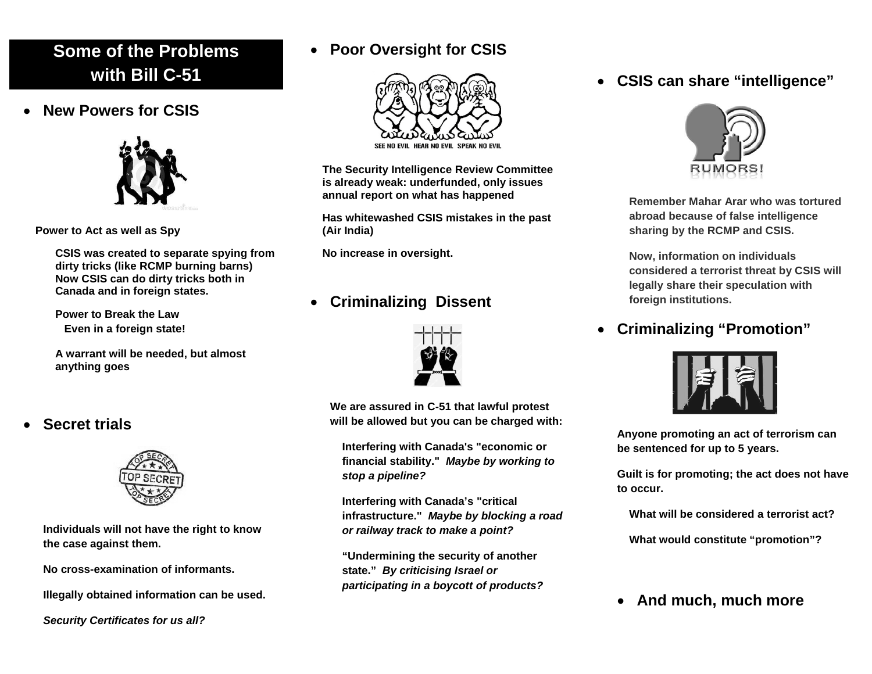## **Some of the Problems with Bill C-51**

• **New Powers for CSIS**



**Power to Act as well as Spy**

**CSIS was created to separate spying from dirty tricks (like RCMP burning barns) Now CSIS can do dirty tricks both in Canada and in foreign states.**

**Power to Break the Law Even in a foreign state!**

**A warrant will be needed, but almost anything goes**

#### • **Secret trials**



**Individuals will not have the right to know the case against them.**

**No cross-examination of informants.**

**Illegally obtained information can be used.**

*Security Certificates for us all?*

### • **Poor Oversight for CSIS**



**The Security Intelligence Review Committee is already weak: underfunded, only issues annual report on what has happened**

**Has whitewashed CSIS mistakes in the past (Air India)**

**No increase in oversight.**

### • **Criminalizing Dissent**



**We are assured in C-51 that lawful protest will be allowed but you can be charged with:**

**Interfering with Canada's "economic or financial stability."** *Maybe by working to stop a pipeline?*

**Interfering with Canada's "critical infrastructure."** *Maybe by blocking a road or railway track to make a point?*

**"Undermining the security of another state."** *By criticising Israel or participating in a boycott of products?* • **CSIS can share "intelligence"**



**Remember Mahar Arar who was tortured abroad because of false intelligence sharing by the RCMP and CSIS.**

**Now, information on individuals considered a terrorist threat by CSIS will legally share their speculation with foreign institutions.** 

• **Criminalizing "Promotion"**



**Anyone promoting an act of terrorism can be sentenced for up to 5 years.**

**Guilt is for promoting; the act does not have to occur.**

**What will be considered a terrorist act?** 

**What would constitute "promotion"?**

• **And much, much more**